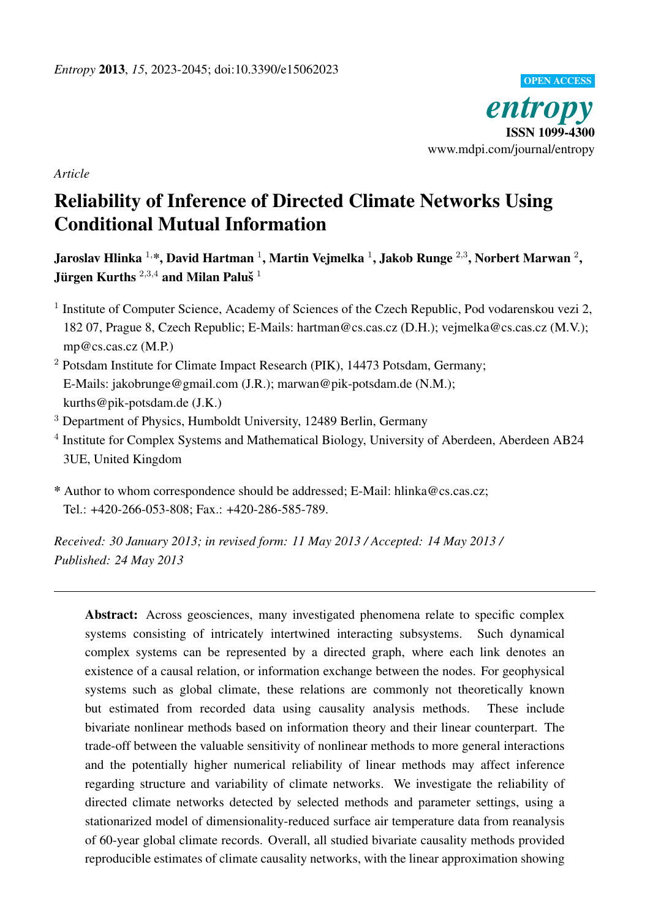

*Article*

# Reliability of Inference of Directed Climate Networks Using Conditional Mutual Information

Jaroslav Hlinka  $^{1,\ast},$  David Hartman  $^{1},$  Martin Vejmelka  $^{1},$  Jakob Runge  $^{2,3},$  Norbert Marwan  $^{2},$ Jürgen Kurths  $^{2,3,4}$  and Milan Paluš  $^1$ 

- <sup>1</sup> Institute of Computer Science, Academy of Sciences of the Czech Republic, Pod vodarenskou vezi 2, 182 07, Prague 8, Czech Republic; E-Mails: hartman@cs.cas.cz (D.H.); vejmelka@cs.cas.cz (M.V.); mp@cs.cas.cz (M.P.)
- <sup>2</sup> Potsdam Institute for Climate Impact Research (PIK), 14473 Potsdam, Germany; E-Mails: jakobrunge@gmail.com (J.R.); marwan@pik-potsdam.de (N.M.); kurths@pik-potsdam.de (J.K.)
- <sup>3</sup> Department of Physics, Humboldt University, 12489 Berlin, Germany
- <sup>4</sup> Institute for Complex Systems and Mathematical Biology, University of Aberdeen, Aberdeen AB24 3UE, United Kingdom
- \* Author to whom correspondence should be addressed; E-Mail: hlinka@cs.cas.cz; Tel.: +420-266-053-808; Fax.: +420-286-585-789.

*Received: 30 January 2013; in revised form: 11 May 2013 / Accepted: 14 May 2013 / Published: 24 May 2013*

Abstract: Across geosciences, many investigated phenomena relate to specific complex systems consisting of intricately intertwined interacting subsystems. Such dynamical complex systems can be represented by a directed graph, where each link denotes an existence of a causal relation, or information exchange between the nodes. For geophysical systems such as global climate, these relations are commonly not theoretically known but estimated from recorded data using causality analysis methods. These include bivariate nonlinear methods based on information theory and their linear counterpart. The trade-off between the valuable sensitivity of nonlinear methods to more general interactions and the potentially higher numerical reliability of linear methods may affect inference regarding structure and variability of climate networks. We investigate the reliability of directed climate networks detected by selected methods and parameter settings, using a stationarized model of dimensionality-reduced surface air temperature data from reanalysis of 60-year global climate records. Overall, all studied bivariate causality methods provided reproducible estimates of climate causality networks, with the linear approximation showing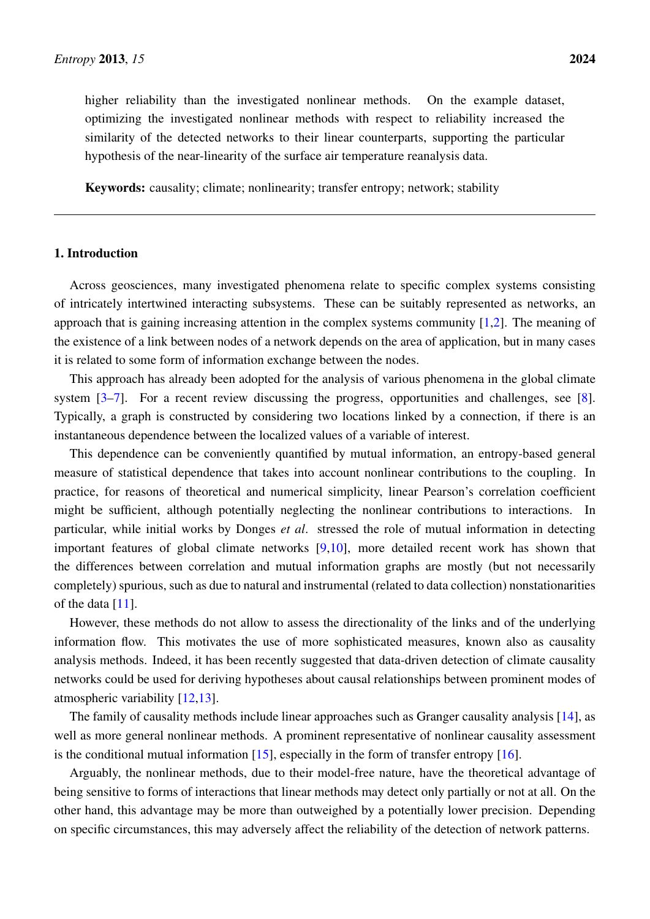higher reliability than the investigated nonlinear methods. On the example dataset, optimizing the investigated nonlinear methods with respect to reliability increased the similarity of the detected networks to their linear counterparts, supporting the particular hypothesis of the near-linearity of the surface air temperature reanalysis data.

Keywords: causality; climate; nonlinearity; transfer entropy; network; stability

# 1. Introduction

Across geosciences, many investigated phenomena relate to specific complex systems consisting of intricately intertwined interacting subsystems. These can be suitably represented as networks, an approach that is gaining increasing attention in the complex systems community [\[1](#page-19-0)[,2\]](#page-19-1). The meaning of the existence of a link between nodes of a network depends on the area of application, but in many cases it is related to some form of information exchange between the nodes.

This approach has already been adopted for the analysis of various phenomena in the global climate system [\[3](#page-19-2)[–7\]](#page-20-0). For a recent review discussing the progress, opportunities and challenges, see [\[8\]](#page-20-1). Typically, a graph is constructed by considering two locations linked by a connection, if there is an instantaneous dependence between the localized values of a variable of interest.

This dependence can be conveniently quantified by mutual information, an entropy-based general measure of statistical dependence that takes into account nonlinear contributions to the coupling. In practice, for reasons of theoretical and numerical simplicity, linear Pearson's correlation coefficient might be sufficient, although potentially neglecting the nonlinear contributions to interactions. In particular, while initial works by Donges *et al*. stressed the role of mutual information in detecting important features of global climate networks [\[9](#page-20-2)[,10\]](#page-20-3), more detailed recent work has shown that the differences between correlation and mutual information graphs are mostly (but not necessarily completely) spurious, such as due to natural and instrumental (related to data collection) nonstationarities of the data [\[11\]](#page-20-4).

However, these methods do not allow to assess the directionality of the links and of the underlying information flow. This motivates the use of more sophisticated measures, known also as causality analysis methods. Indeed, it has been recently suggested that data-driven detection of climate causality networks could be used for deriving hypotheses about causal relationships between prominent modes of atmospheric variability [\[12,](#page-20-5)[13\]](#page-20-6).

The family of causality methods include linear approaches such as Granger causality analysis [\[14\]](#page-20-7), as well as more general nonlinear methods. A prominent representative of nonlinear causality assessment is the conditional mutual information  $[15]$ , especially in the form of transfer entropy  $[16]$ .

Arguably, the nonlinear methods, due to their model-free nature, have the theoretical advantage of being sensitive to forms of interactions that linear methods may detect only partially or not at all. On the other hand, this advantage may be more than outweighed by a potentially lower precision. Depending on specific circumstances, this may adversely affect the reliability of the detection of network patterns.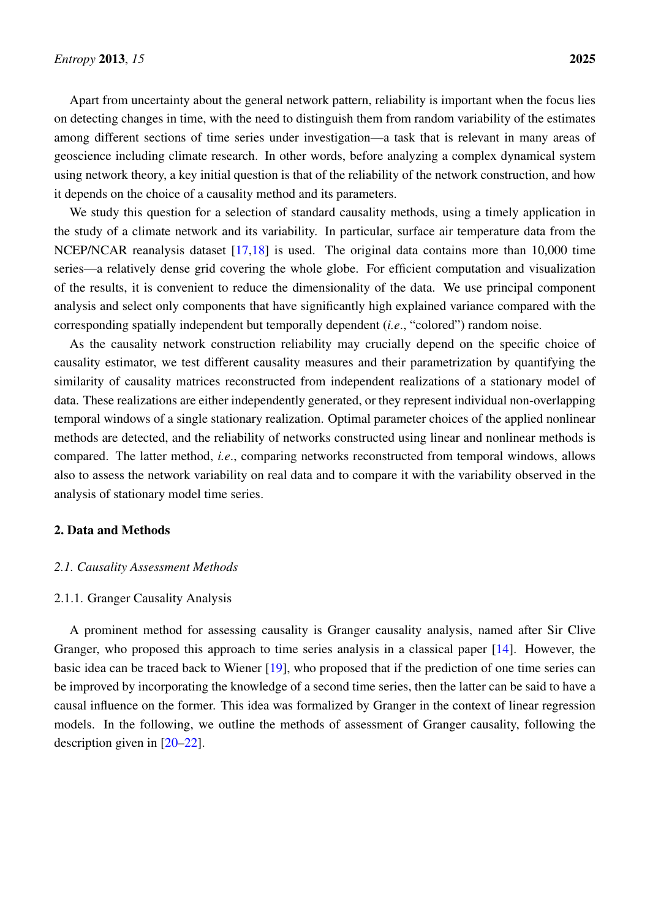Apart from uncertainty about the general network pattern, reliability is important when the focus lies on detecting changes in time, with the need to distinguish them from random variability of the estimates among different sections of time series under investigation—a task that is relevant in many areas of geoscience including climate research. In other words, before analyzing a complex dynamical system using network theory, a key initial question is that of the reliability of the network construction, and how it depends on the choice of a causality method and its parameters.

We study this question for a selection of standard causality methods, using a timely application in the study of a climate network and its variability. In particular, surface air temperature data from the NCEP/NCAR reanalysis dataset [\[17,](#page-20-10)[18\]](#page-20-11) is used. The original data contains more than 10,000 time series—a relatively dense grid covering the whole globe. For efficient computation and visualization of the results, it is convenient to reduce the dimensionality of the data. We use principal component analysis and select only components that have significantly high explained variance compared with the corresponding spatially independent but temporally dependent (*i.e*., "colored") random noise.

As the causality network construction reliability may crucially depend on the specific choice of causality estimator, we test different causality measures and their parametrization by quantifying the similarity of causality matrices reconstructed from independent realizations of a stationary model of data. These realizations are either independently generated, or they represent individual non-overlapping temporal windows of a single stationary realization. Optimal parameter choices of the applied nonlinear methods are detected, and the reliability of networks constructed using linear and nonlinear methods is compared. The latter method, *i.e*., comparing networks reconstructed from temporal windows, allows also to assess the network variability on real data and to compare it with the variability observed in the analysis of stationary model time series.

# <span id="page-2-1"></span>2. Data and Methods

# <span id="page-2-0"></span>*2.1. Causality Assessment Methods*

# 2.1.1. Granger Causality Analysis

A prominent method for assessing causality is Granger causality analysis, named after Sir Clive Granger, who proposed this approach to time series analysis in a classical paper [\[14\]](#page-20-7). However, the basic idea can be traced back to Wiener [\[19\]](#page-20-12), who proposed that if the prediction of one time series can be improved by incorporating the knowledge of a second time series, then the latter can be said to have a causal influence on the former. This idea was formalized by Granger in the context of linear regression models. In the following, we outline the methods of assessment of Granger causality, following the description given in [\[20](#page-20-13)[–22\]](#page-20-14).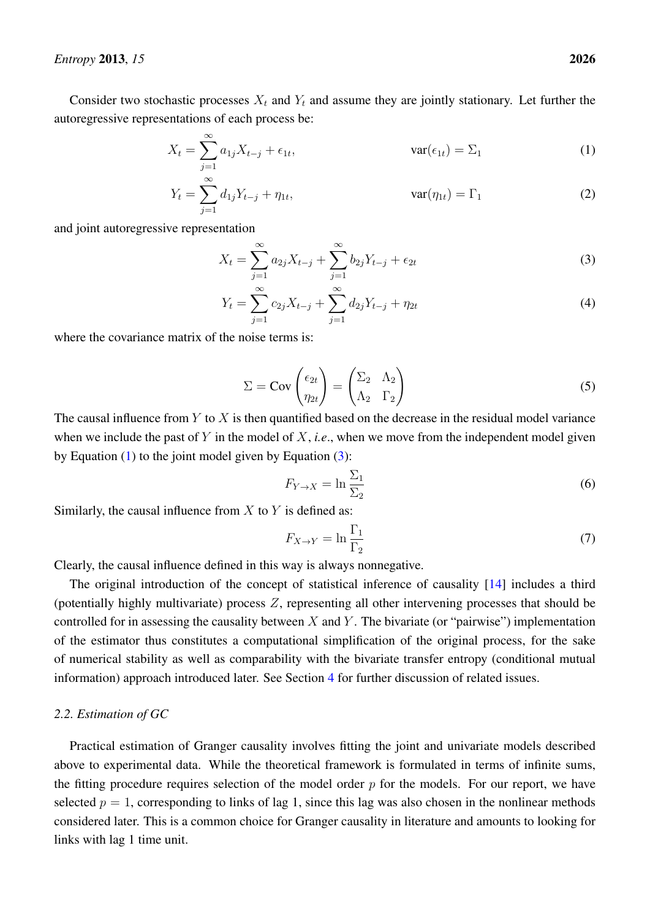Consider two stochastic processes  $X_t$  and  $Y_t$  and assume they are jointly stationary. Let further the autoregressive representations of each process be:

$$
X_t = \sum_{j=1}^{\infty} a_{1j} X_{t-j} + \epsilon_{1t}, \qquad \text{var}(\epsilon_{1t}) = \Sigma_1 \tag{1}
$$

$$
Y_t = \sum_{j=1}^{\infty} d_{1j} Y_{t-j} + \eta_{1t}, \qquad \text{var}(\eta_{1t}) = \Gamma_1 \tag{2}
$$

and joint autoregressive representation

<span id="page-3-0"></span>
$$
X_t = \sum_{j=1}^{\infty} a_{2j} X_{t-j} + \sum_{j=1}^{\infty} b_{2j} Y_{t-j} + \epsilon_{2t}
$$
 (3)

$$
Y_t = \sum_{j=1}^{\infty} c_{2j} X_{t-j} + \sum_{j=1}^{\infty} d_{2j} Y_{t-j} + \eta_{2t}
$$
\n(4)

where the covariance matrix of the noise terms is:

<span id="page-3-1"></span>
$$
\Sigma = \text{Cov}\begin{pmatrix} \epsilon_{2t} \\ \eta_{2t} \end{pmatrix} = \begin{pmatrix} \Sigma_2 & \Lambda_2 \\ \Lambda_2 & \Gamma_2 \end{pmatrix}
$$
 (5)

The causal influence from  $Y$  to  $X$  is then quantified based on the decrease in the residual model variance when we include the past of Y in the model of X, *i.e.*, when we move from the independent model given by Equation  $(1)$  to the joint model given by Equation  $(3)$ :

$$
F_{Y \to X} = \ln \frac{\Sigma_1}{\Sigma_2} \tag{6}
$$

Similarly, the causal influence from  $X$  to  $Y$  is defined as:

$$
F_{X \to Y} = \ln \frac{\Gamma_1}{\Gamma_2} \tag{7}
$$

Clearly, the causal influence defined in this way is always nonnegative.

The original introduction of the concept of statistical inference of causality [\[14\]](#page-20-7) includes a third (potentially highly multivariate) process  $Z$ , representing all other intervening processes that should be controlled for in assessing the causality between  $X$  and  $Y$ . The bivariate (or "pairwise") implementation of the estimator thus constitutes a computational simplification of the original process, for the sake of numerical stability as well as comparability with the bivariate transfer entropy (conditional mutual information) approach introduced later. See Section [4](#page-14-0) for further discussion of related issues.

# *2.2. Estimation of GC*

Practical estimation of Granger causality involves fitting the joint and univariate models described above to experimental data. While the theoretical framework is formulated in terms of infinite sums, the fitting procedure requires selection of the model order  $p$  for the models. For our report, we have selected  $p = 1$ , corresponding to links of lag 1, since this lag was also chosen in the nonlinear methods considered later. This is a common choice for Granger causality in literature and amounts to looking for links with lag 1 time unit.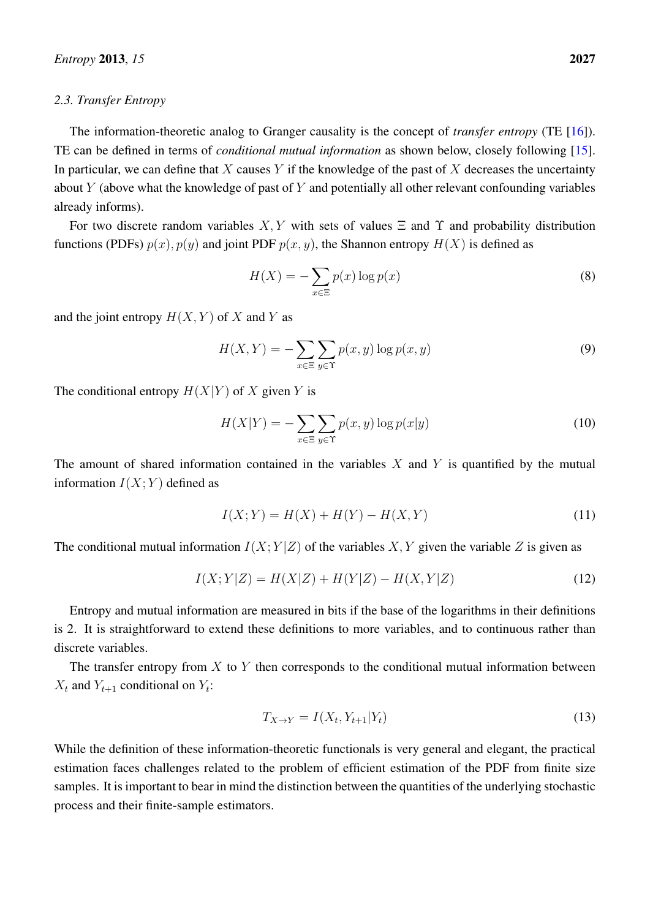## *2.3. Transfer Entropy*

The information-theoretic analog to Granger causality is the concept of *transfer entropy* (TE [\[16\]](#page-20-9)). TE can be defined in terms of *conditional mutual information* as shown below, closely following [\[15\]](#page-20-8). In particular, we can define that X causes Y if the knowledge of the past of X decreases the uncertainty about  $Y$  (above what the knowledge of past of  $Y$  and potentially all other relevant confounding variables already informs).

For two discrete random variables  $X, Y$  with sets of values  $\Xi$  and  $\Upsilon$  and probability distribution functions (PDFs)  $p(x)$ ,  $p(y)$  and joint PDF  $p(x, y)$ , the Shannon entropy  $H(X)$  is defined as

$$
H(X) = -\sum_{x \in \Xi} p(x) \log p(x) \tag{8}
$$

and the joint entropy  $H(X, Y)$  of X and Y as

$$
H(X,Y) = -\sum_{x \in \Xi} \sum_{y \in \Upsilon} p(x,y) \log p(x,y) \tag{9}
$$

The conditional entropy  $H(X|Y)$  of X given Y is

$$
H(X|Y) = -\sum_{x \in \Xi} \sum_{y \in \Upsilon} p(x, y) \log p(x|y)
$$
 (10)

The amount of shared information contained in the variables  $X$  and  $Y$  is quantified by the mutual information  $I(X; Y)$  defined as

$$
I(X;Y) = H(X) + H(Y) - H(X,Y)
$$
\n(11)

The conditional mutual information  $I(X; Y|Z)$  of the variables X, Y given the variable Z is given as

$$
I(X;Y|Z) = H(X|Z) + H(Y|Z) - H(X,Y|Z)
$$
\n(12)

Entropy and mutual information are measured in bits if the base of the logarithms in their definitions is 2. It is straightforward to extend these definitions to more variables, and to continuous rather than discrete variables.

The transfer entropy from  $X$  to  $Y$  then corresponds to the conditional mutual information between  $X_t$  and  $Y_{t+1}$  conditional on  $Y_t$ :

$$
T_{X \to Y} = I(X_t, Y_{t+1} | Y_t)
$$
\n
$$
(13)
$$

While the definition of these information-theoretic functionals is very general and elegant, the practical estimation faces challenges related to the problem of efficient estimation of the PDF from finite size samples. It is important to bear in mind the distinction between the quantities of the underlying stochastic process and their finite-sample estimators.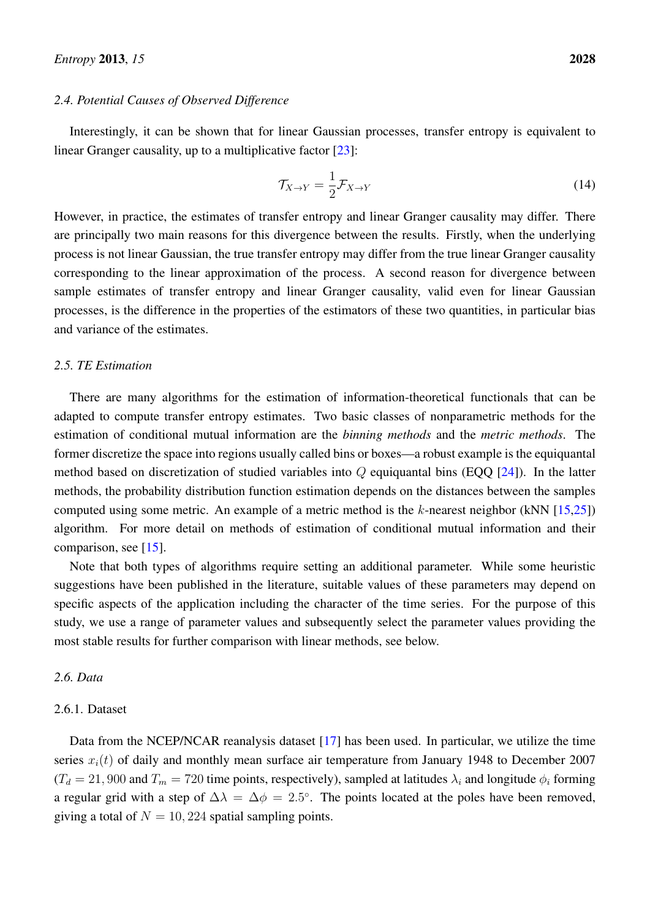### *2.4. Potential Causes of Observed Difference*

Interestingly, it can be shown that for linear Gaussian processes, transfer entropy is equivalent to linear Granger causality, up to a multiplicative factor [\[23\]](#page-20-15):

$$
\mathcal{T}_{X \to Y} = \frac{1}{2} \mathcal{F}_{X \to Y} \tag{14}
$$

However, in practice, the estimates of transfer entropy and linear Granger causality may differ. There are principally two main reasons for this divergence between the results. Firstly, when the underlying process is not linear Gaussian, the true transfer entropy may differ from the true linear Granger causality corresponding to the linear approximation of the process. A second reason for divergence between sample estimates of transfer entropy and linear Granger causality, valid even for linear Gaussian processes, is the difference in the properties of the estimators of these two quantities, in particular bias and variance of the estimates.

# *2.5. TE Estimation*

There are many algorithms for the estimation of information-theoretical functionals that can be adapted to compute transfer entropy estimates. Two basic classes of nonparametric methods for the estimation of conditional mutual information are the *binning methods* and the *metric methods*. The former discretize the space into regions usually called bins or boxes—a robust example is the equiquantal method based on discretization of studied variables into  $Q$  equiquantal bins (EQQ  $[24]$ ). In the latter methods, the probability distribution function estimation depends on the distances between the samples computed using some metric. An example of a metric method is the  $k$ -nearest neighbor (kNN [\[15,](#page-20-8)[25\]](#page-21-0)) algorithm. For more detail on methods of estimation of conditional mutual information and their comparison, see [\[15\]](#page-20-8).

Note that both types of algorithms require setting an additional parameter. While some heuristic suggestions have been published in the literature, suitable values of these parameters may depend on specific aspects of the application including the character of the time series. For the purpose of this study, we use a range of parameter values and subsequently select the parameter values providing the most stable results for further comparison with linear methods, see below.

# *2.6. Data*

## 2.6.1. Dataset

Data from the NCEP/NCAR reanalysis dataset [\[17\]](#page-20-10) has been used. In particular, we utilize the time series  $x_i(t)$  of daily and monthly mean surface air temperature from January 1948 to December 2007  $(T_d = 21,900$  and  $T_m = 720$  time points, respectively), sampled at latitudes  $\lambda_i$  and longitude  $\phi_i$  forming a regular grid with a step of  $\Delta \lambda = \Delta \phi = 2.5^{\circ}$ . The points located at the poles have been removed, giving a total of  $N = 10, 224$  spatial sampling points.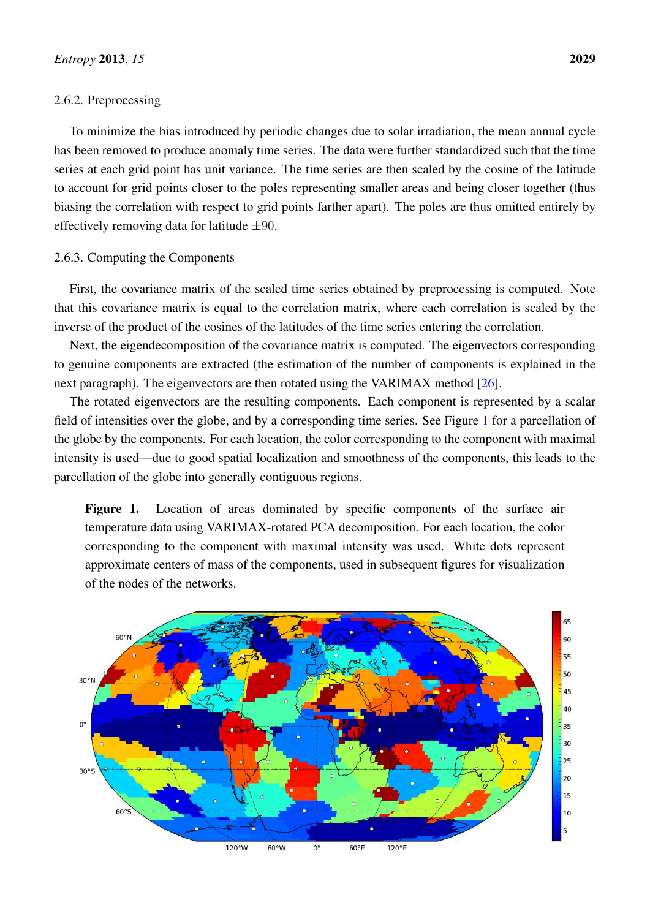#### 2.6.2. Preprocessing

To minimize the bias introduced by periodic changes due to solar irradiation, the mean annual cycle has been removed to produce anomaly time series. The data were further standardized such that the time series at each grid point has unit variance. The time series are then scaled by the cosine of the latitude to account for grid points closer to the poles representing smaller areas and being closer together (thus biasing the correlation with respect to grid points farther apart). The poles are thus omitted entirely by effectively removing data for latitude  $\pm 90$ .

# 2.6.3. Computing the Components

First, the covariance matrix of the scaled time series obtained by preprocessing is computed. Note that this covariance matrix is equal to the correlation matrix, where each correlation is scaled by the inverse of the product of the cosines of the latitudes of the time series entering the correlation.

Next, the eigendecomposition of the covariance matrix is computed. The eigenvectors corresponding to genuine components are extracted (the estimation of the number of components is explained in the next paragraph). The eigenvectors are then rotated using the VARIMAX method [\[26\]](#page-21-1).

The rotated eigenvectors are the resulting components. Each component is represented by a scalar field of intensities over the globe, and by a corresponding time series. See Figure [1](#page-6-0) for a parcellation of the globe by the components. For each location, the color corresponding to the component with maximal intensity is used—due to good spatial localization and smoothness of the components, this leads to the parcellation of the globe into generally contiguous regions.

<span id="page-6-0"></span>Figure 1. Location of areas dominated by specific components of the surface air temperature data using VARIMAX-rotated PCA decomposition. For each location, the color corresponding to the component with maximal intensity was used. White dots represent approximate centers of mass of the components, used in subsequent figures for visualization of the nodes of the networks.

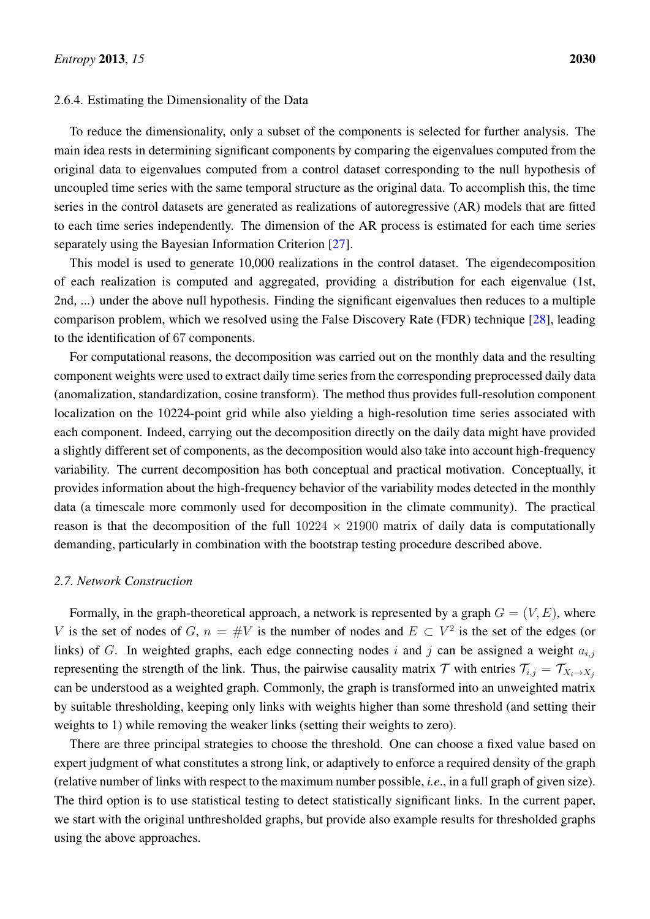## 2.6.4. Estimating the Dimensionality of the Data

To reduce the dimensionality, only a subset of the components is selected for further analysis. The main idea rests in determining significant components by comparing the eigenvalues computed from the original data to eigenvalues computed from a control dataset corresponding to the null hypothesis of uncoupled time series with the same temporal structure as the original data. To accomplish this, the time series in the control datasets are generated as realizations of autoregressive (AR) models that are fitted to each time series independently. The dimension of the AR process is estimated for each time series separately using the Bayesian Information Criterion [\[27\]](#page-21-2).

This model is used to generate 10,000 realizations in the control dataset. The eigendecomposition of each realization is computed and aggregated, providing a distribution for each eigenvalue (1st, 2nd, ...) under the above null hypothesis. Finding the significant eigenvalues then reduces to a multiple comparison problem, which we resolved using the False Discovery Rate (FDR) technique [\[28\]](#page-21-3), leading to the identification of 67 components.

For computational reasons, the decomposition was carried out on the monthly data and the resulting component weights were used to extract daily time series from the corresponding preprocessed daily data (anomalization, standardization, cosine transform). The method thus provides full-resolution component localization on the 10224-point grid while also yielding a high-resolution time series associated with each component. Indeed, carrying out the decomposition directly on the daily data might have provided a slightly different set of components, as the decomposition would also take into account high-frequency variability. The current decomposition has both conceptual and practical motivation. Conceptually, it provides information about the high-frequency behavior of the variability modes detected in the monthly data (a timescale more commonly used for decomposition in the climate community). The practical reason is that the decomposition of the full  $10224 \times 21900$  matrix of daily data is computationally demanding, particularly in combination with the bootstrap testing procedure described above.

# *2.7. Network Construction*

Formally, in the graph-theoretical approach, a network is represented by a graph  $G = (V, E)$ , where V is the set of nodes of G,  $n = #V$  is the number of nodes and  $E \subset V^2$  is the set of the edges (or links) of G. In weighted graphs, each edge connecting nodes i and j can be assigned a weight  $a_{i,j}$ representing the strength of the link. Thus, the pairwise causality matrix T with entries  $\mathcal{T}_{i,j} = \mathcal{T}_{X_i \to X_j}$ can be understood as a weighted graph. Commonly, the graph is transformed into an unweighted matrix by suitable thresholding, keeping only links with weights higher than some threshold (and setting their weights to 1) while removing the weaker links (setting their weights to zero).

There are three principal strategies to choose the threshold. One can choose a fixed value based on expert judgment of what constitutes a strong link, or adaptively to enforce a required density of the graph (relative number of links with respect to the maximum number possible, *i.e*., in a full graph of given size). The third option is to use statistical testing to detect statistically significant links. In the current paper, we start with the original unthresholded graphs, but provide also example results for thresholded graphs using the above approaches.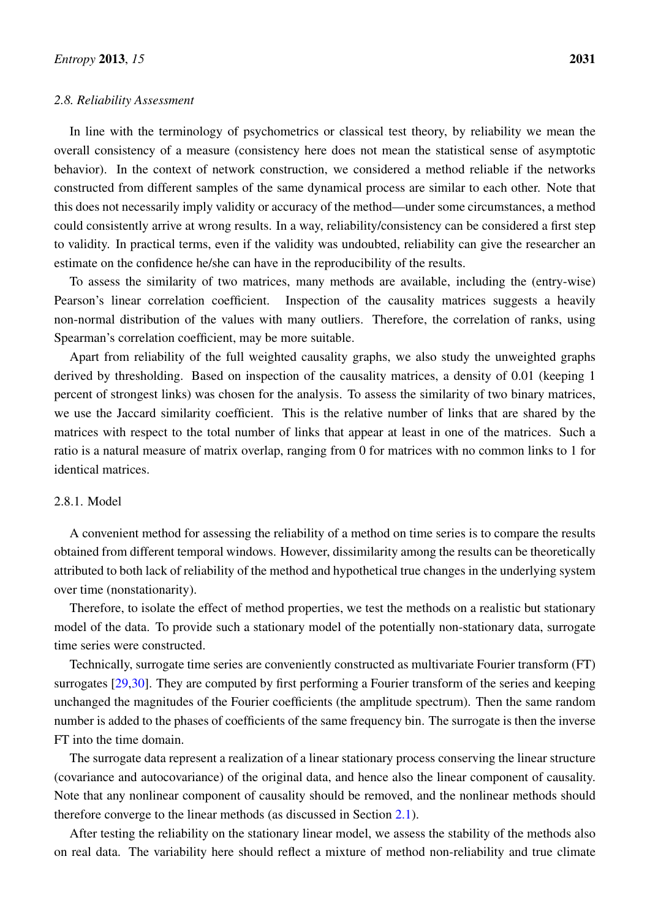## *2.8. Reliability Assessment*

In line with the terminology of psychometrics or classical test theory, by reliability we mean the overall consistency of a measure (consistency here does not mean the statistical sense of asymptotic behavior). In the context of network construction, we considered a method reliable if the networks constructed from different samples of the same dynamical process are similar to each other. Note that this does not necessarily imply validity or accuracy of the method—under some circumstances, a method could consistently arrive at wrong results. In a way, reliability/consistency can be considered a first step to validity. In practical terms, even if the validity was undoubted, reliability can give the researcher an estimate on the confidence he/she can have in the reproducibility of the results.

To assess the similarity of two matrices, many methods are available, including the (entry-wise) Pearson's linear correlation coefficient. Inspection of the causality matrices suggests a heavily non-normal distribution of the values with many outliers. Therefore, the correlation of ranks, using Spearman's correlation coefficient, may be more suitable.

Apart from reliability of the full weighted causality graphs, we also study the unweighted graphs derived by thresholding. Based on inspection of the causality matrices, a density of 0.01 (keeping 1 percent of strongest links) was chosen for the analysis. To assess the similarity of two binary matrices, we use the Jaccard similarity coefficient. This is the relative number of links that are shared by the matrices with respect to the total number of links that appear at least in one of the matrices. Such a ratio is a natural measure of matrix overlap, ranging from 0 for matrices with no common links to 1 for identical matrices.

# 2.8.1. Model

A convenient method for assessing the reliability of a method on time series is to compare the results obtained from different temporal windows. However, dissimilarity among the results can be theoretically attributed to both lack of reliability of the method and hypothetical true changes in the underlying system over time (nonstationarity).

Therefore, to isolate the effect of method properties, we test the methods on a realistic but stationary model of the data. To provide such a stationary model of the potentially non-stationary data, surrogate time series were constructed.

Technically, surrogate time series are conveniently constructed as multivariate Fourier transform (FT) surrogates [\[29,](#page-21-4)[30\]](#page-21-5). They are computed by first performing a Fourier transform of the series and keeping unchanged the magnitudes of the Fourier coefficients (the amplitude spectrum). Then the same random number is added to the phases of coefficients of the same frequency bin. The surrogate is then the inverse FT into the time domain.

The surrogate data represent a realization of a linear stationary process conserving the linear structure (covariance and autocovariance) of the original data, and hence also the linear component of causality. Note that any nonlinear component of causality should be removed, and the nonlinear methods should therefore converge to the linear methods (as discussed in Section [2.1\)](#page-2-0).

After testing the reliability on the stationary linear model, we assess the stability of the methods also on real data. The variability here should reflect a mixture of method non-reliability and true climate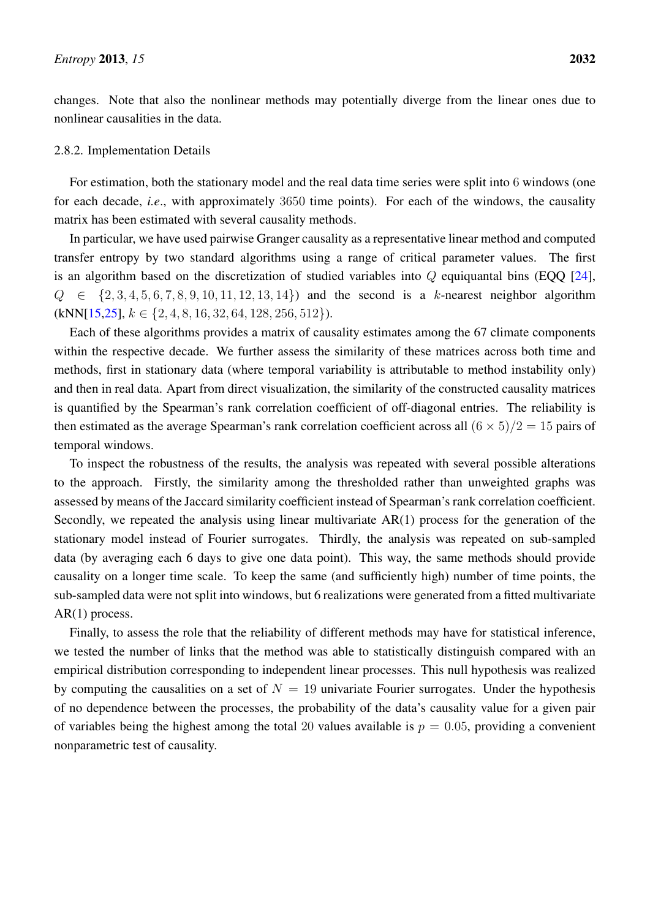changes. Note that also the nonlinear methods may potentially diverge from the linear ones due to nonlinear causalities in the data.

# 2.8.2. Implementation Details

For estimation, both the stationary model and the real data time series were split into 6 windows (one for each decade, *i.e*., with approximately 3650 time points). For each of the windows, the causality matrix has been estimated with several causality methods.

In particular, we have used pairwise Granger causality as a representative linear method and computed transfer entropy by two standard algorithms using a range of critical parameter values. The first is an algorithm based on the discretization of studied variables into  $Q$  equiquantal bins (EQQ [\[24\]](#page-20-16),  $Q \in \{2, 3, 4, 5, 6, 7, 8, 9, 10, 11, 12, 13, 14\}$  and the second is a k-nearest neighbor algorithm  $(kNN[15,25], k \in \{2,4,8,16,32,64,128,256,512\}).$  $(kNN[15,25], k \in \{2,4,8,16,32,64,128,256,512\}).$  $(kNN[15,25], k \in \{2,4,8,16,32,64,128,256,512\}).$  $(kNN[15,25], k \in \{2,4,8,16,32,64,128,256,512\}).$ 

Each of these algorithms provides a matrix of causality estimates among the 67 climate components within the respective decade. We further assess the similarity of these matrices across both time and methods, first in stationary data (where temporal variability is attributable to method instability only) and then in real data. Apart from direct visualization, the similarity of the constructed causality matrices is quantified by the Spearman's rank correlation coefficient of off-diagonal entries. The reliability is then estimated as the average Spearman's rank correlation coefficient across all  $(6 \times 5)/2 = 15$  pairs of temporal windows.

To inspect the robustness of the results, the analysis was repeated with several possible alterations to the approach. Firstly, the similarity among the thresholded rather than unweighted graphs was assessed by means of the Jaccard similarity coefficient instead of Spearman's rank correlation coefficient. Secondly, we repeated the analysis using linear multivariate AR(1) process for the generation of the stationary model instead of Fourier surrogates. Thirdly, the analysis was repeated on sub-sampled data (by averaging each 6 days to give one data point). This way, the same methods should provide causality on a longer time scale. To keep the same (and sufficiently high) number of time points, the sub-sampled data were not split into windows, but 6 realizations were generated from a fitted multivariate AR(1) process.

Finally, to assess the role that the reliability of different methods may have for statistical inference, we tested the number of links that the method was able to statistically distinguish compared with an empirical distribution corresponding to independent linear processes. This null hypothesis was realized by computing the causalities on a set of  $N = 19$  univariate Fourier surrogates. Under the hypothesis of no dependence between the processes, the probability of the data's causality value for a given pair of variables being the highest among the total 20 values available is  $p = 0.05$ , providing a convenient nonparametric test of causality.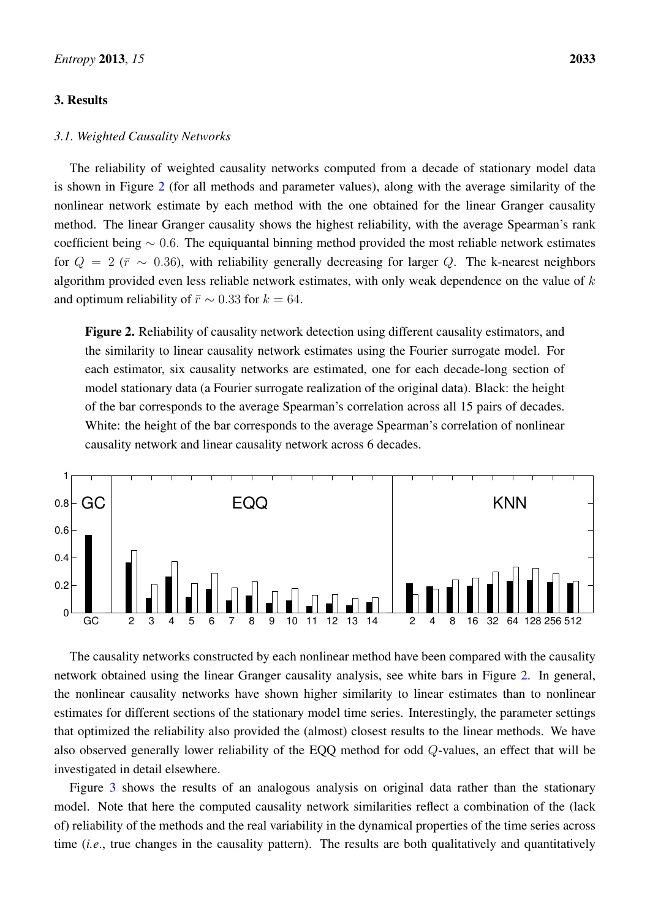# 3. Results

# *3.1. Weighted Causality Networks*

The reliability of weighted causality networks computed from a decade of stationary model data is shown in Figure [2](#page-10-0) (for all methods and parameter values), along with the average similarity of the nonlinear network estimate by each method with the one obtained for the linear Granger causality method. The linear Granger causality shows the highest reliability, with the average Spearman's rank coefficient being ∼ 0.6. The equiquantal binning method provided the most reliable network estimates for  $Q = 2$  ( $\bar{r} \sim 0.36$ ), with reliability generally decreasing for larger Q. The k-nearest neighbors algorithm provided even less reliable network estimates, with only weak dependence on the value of  $k$ and optimum reliability of  $\bar{r} \sim 0.33$  for  $k = 64$ .

<span id="page-10-0"></span>Figure 2. Reliability of causality network detection using different causality estimators, and the similarity to linear causality network estimates using the Fourier surrogate model. For each estimator, six causality networks are estimated, one for each decade-long section of model stationary data (a Fourier surrogate realization of the original data). Black: the height of the bar corresponds to the average Spearman's correlation across all 15 pairs of decades. White: the height of the bar corresponds to the average Spearman's correlation of nonlinear causality network and linear causality network across 6 decades.



The causality networks constructed by each nonlinear method have been compared with the causality network obtained using the linear Granger causality analysis, see white bars in Figure [2.](#page-10-0) In general, the nonlinear causality networks have shown higher similarity to linear estimates than to nonlinear estimates for different sections of the stationary model time series. Interestingly, the parameter settings that optimized the reliability also provided the (almost) closest results to the linear methods. We have also observed generally lower reliability of the EQQ method for odd Q-values, an effect that will be investigated in detail elsewhere.

Figure [3](#page-11-0) shows the results of an analogous analysis on original data rather than the stationary model. Note that here the computed causality network similarities reflect a combination of the (lack of) reliability of the methods and the real variability in the dynamical properties of the time series across time (*i.e*., true changes in the causality pattern). The results are both qualitatively and quantitatively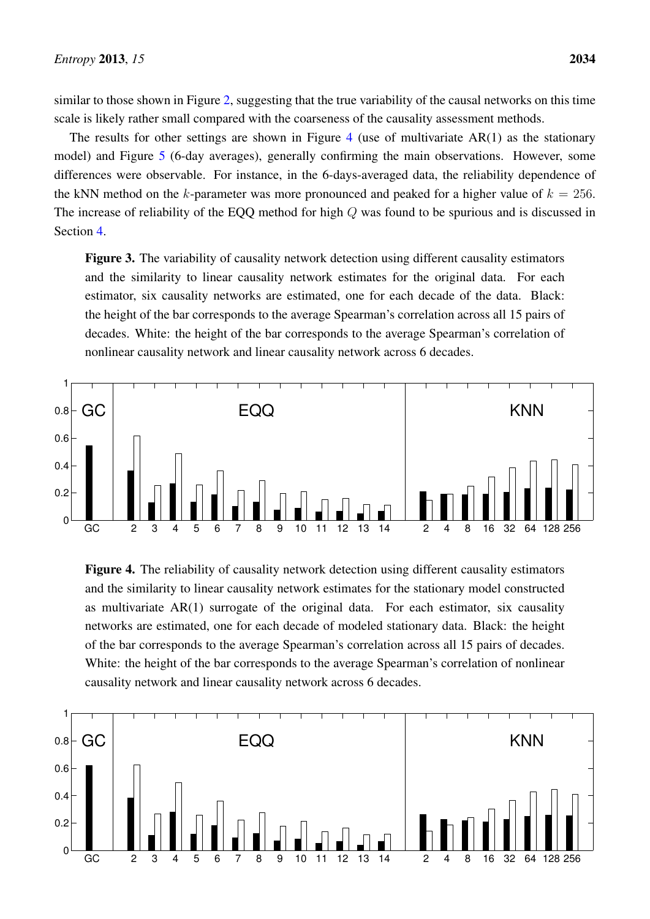similar to those shown in Figure [2,](#page-10-0) suggesting that the true variability of the causal networks on this time scale is likely rather small compared with the coarseness of the causality assessment methods.

The results for other settings are shown in Figure [4](#page-11-1) (use of multivariate  $AR(1)$  as the stationary model) and Figure [5](#page-12-0) (6-day averages), generally confirming the main observations. However, some differences were observable. For instance, in the 6-days-averaged data, the reliability dependence of the kNN method on the k-parameter was more pronounced and peaked for a higher value of  $k = 256$ . The increase of reliability of the EQQ method for high Q was found to be spurious and is discussed in Section [4.](#page-14-0)

<span id="page-11-0"></span>Figure 3. The variability of causality network detection using different causality estimators and the similarity to linear causality network estimates for the original data. For each estimator, six causality networks are estimated, one for each decade of the data. Black: the height of the bar corresponds to the average Spearman's correlation across all 15 pairs of decades. White: the height of the bar corresponds to the average Spearman's correlation of nonlinear causality network and linear causality network across 6 decades.



<span id="page-11-1"></span>Figure 4. The reliability of causality network detection using different causality estimators and the similarity to linear causality network estimates for the stationary model constructed as multivariate AR(1) surrogate of the original data. For each estimator, six causality networks are estimated, one for each decade of modeled stationary data. Black: the height of the bar corresponds to the average Spearman's correlation across all 15 pairs of decades. White: the height of the bar corresponds to the average Spearman's correlation of nonlinear causality network and linear causality network across 6 decades.

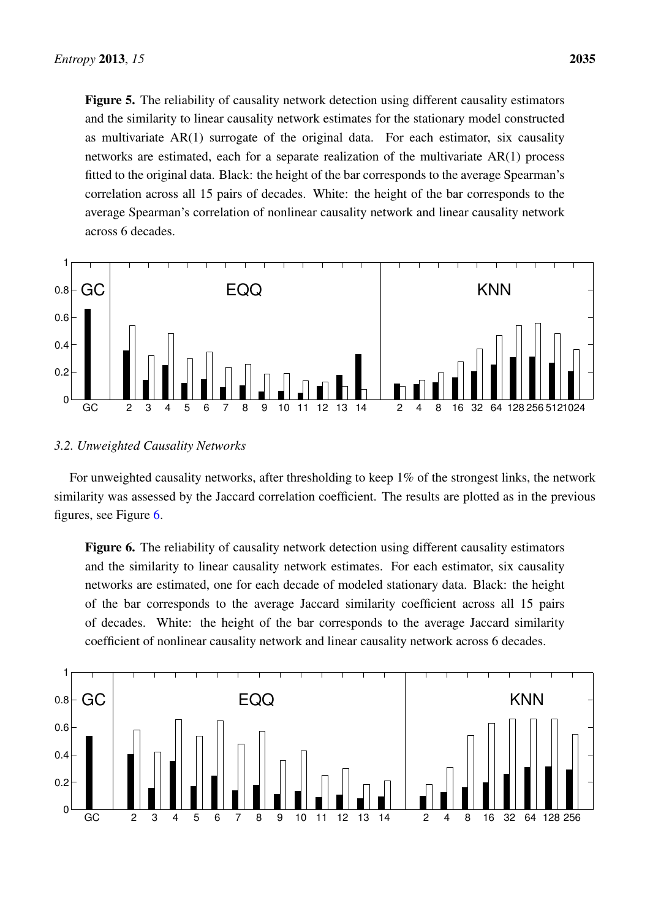<span id="page-12-0"></span>Figure 5. The reliability of causality network detection using different causality estimators and the similarity to linear causality network estimates for the stationary model constructed as multivariate AR(1) surrogate of the original data. For each estimator, six causality networks are estimated, each for a separate realization of the multivariate AR(1) process fitted to the original data. Black: the height of the bar corresponds to the average Spearman's correlation across all 15 pairs of decades. White: the height of the bar corresponds to the average Spearman's correlation of nonlinear causality network and linear causality network across 6 decades.



## *3.2. Unweighted Causality Networks*

For unweighted causality networks, after thresholding to keep 1% of the strongest links, the network similarity was assessed by the Jaccard correlation coefficient. The results are plotted as in the previous figures, see Figure [6.](#page-12-1)

<span id="page-12-1"></span>Figure 6. The reliability of causality network detection using different causality estimators and the similarity to linear causality network estimates. For each estimator, six causality networks are estimated, one for each decade of modeled stationary data. Black: the height of the bar corresponds to the average Jaccard similarity coefficient across all 15 pairs of decades. White: the height of the bar corresponds to the average Jaccard similarity coefficient of nonlinear causality network and linear causality network across 6 decades.

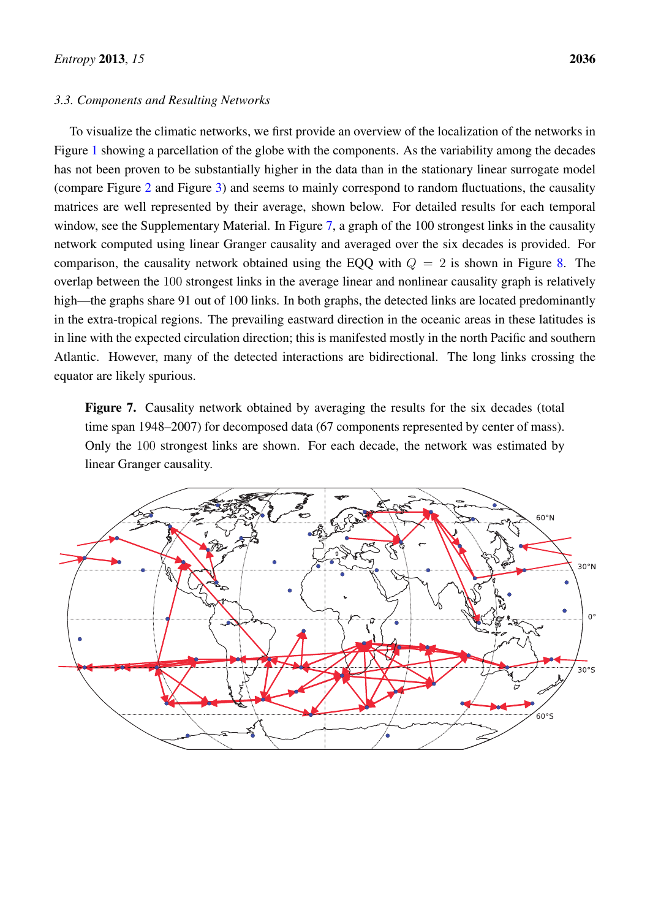## *3.3. Components and Resulting Networks*

To visualize the climatic networks, we first provide an overview of the localization of the networks in Figure [1](#page-6-0) showing a parcellation of the globe with the components. As the variability among the decades has not been proven to be substantially higher in the data than in the stationary linear surrogate model (compare Figure [2](#page-10-0) and Figure [3\)](#page-11-0) and seems to mainly correspond to random fluctuations, the causality matrices are well represented by their average, shown below. For detailed results for each temporal window, see the Supplementary Material. In Figure [7,](#page-13-0) a graph of the 100 strongest links in the causality network computed using linear Granger causality and averaged over the six decades is provided. For comparison, the causality network obtained using the EQQ with  $Q = 2$  is shown in Figure [8.](#page-14-1) The overlap between the 100 strongest links in the average linear and nonlinear causality graph is relatively high—the graphs share 91 out of 100 links. In both graphs, the detected links are located predominantly in the extra-tropical regions. The prevailing eastward direction in the oceanic areas in these latitudes is in line with the expected circulation direction; this is manifested mostly in the north Pacific and southern Atlantic. However, many of the detected interactions are bidirectional. The long links crossing the equator are likely spurious.

<span id="page-13-0"></span>Figure 7. Causality network obtained by averaging the results for the six decades (total time span 1948–2007) for decomposed data (67 components represented by center of mass). Only the 100 strongest links are shown. For each decade, the network was estimated by linear Granger causality.

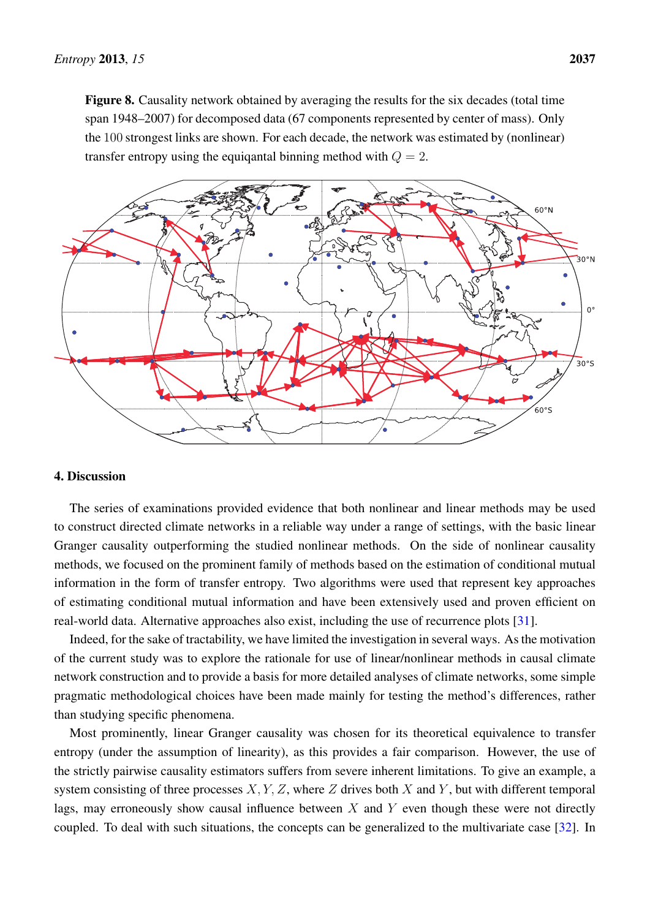<span id="page-14-1"></span>Figure 8. Causality network obtained by averaging the results for the six decades (total time span 1948–2007) for decomposed data (67 components represented by center of mass). Only the 100 strongest links are shown. For each decade, the network was estimated by (nonlinear) transfer entropy using the equiqantal binning method with  $Q = 2$ .



# <span id="page-14-0"></span>4. Discussion

The series of examinations provided evidence that both nonlinear and linear methods may be used to construct directed climate networks in a reliable way under a range of settings, with the basic linear Granger causality outperforming the studied nonlinear methods. On the side of nonlinear causality methods, we focused on the prominent family of methods based on the estimation of conditional mutual information in the form of transfer entropy. Two algorithms were used that represent key approaches of estimating conditional mutual information and have been extensively used and proven efficient on real-world data. Alternative approaches also exist, including the use of recurrence plots [\[31\]](#page-21-6).

Indeed, for the sake of tractability, we have limited the investigation in several ways. As the motivation of the current study was to explore the rationale for use of linear/nonlinear methods in causal climate network construction and to provide a basis for more detailed analyses of climate networks, some simple pragmatic methodological choices have been made mainly for testing the method's differences, rather than studying specific phenomena.

Most prominently, linear Granger causality was chosen for its theoretical equivalence to transfer entropy (under the assumption of linearity), as this provides a fair comparison. However, the use of the strictly pairwise causality estimators suffers from severe inherent limitations. To give an example, a system consisting of three processes  $X, Y, Z$ , where  $Z$  drives both  $X$  and  $Y$ , but with different temporal lags, may erroneously show causal influence between  $X$  and  $Y$  even though these were not directly coupled. To deal with such situations, the concepts can be generalized to the multivariate case [\[32\]](#page-21-7). In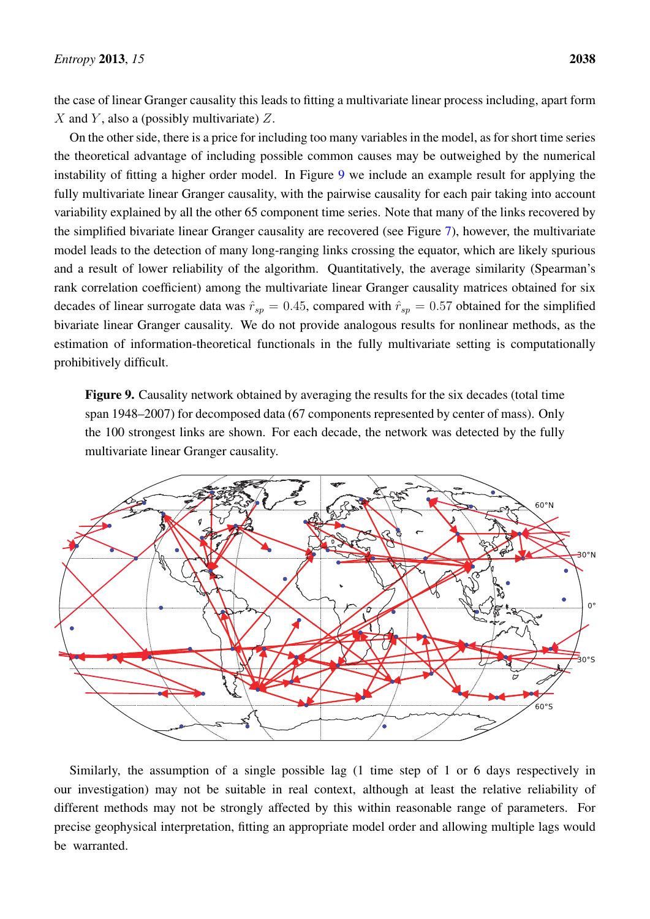the case of linear Granger causality this leads to fitting a multivariate linear process including, apart form X and Y, also a (possibly multivariate)  $Z$ .

On the other side, there is a price for including too many variables in the model, as for short time series the theoretical advantage of including possible common causes may be outweighed by the numerical instability of fitting a higher order model. In Figure [9](#page-15-0) we include an example result for applying the fully multivariate linear Granger causality, with the pairwise causality for each pair taking into account variability explained by all the other 65 component time series. Note that many of the links recovered by the simplified bivariate linear Granger causality are recovered (see Figure [7\)](#page-13-0), however, the multivariate model leads to the detection of many long-ranging links crossing the equator, which are likely spurious and a result of lower reliability of the algorithm. Quantitatively, the average similarity (Spearman's rank correlation coefficient) among the multivariate linear Granger causality matrices obtained for six decades of linear surrogate data was  $\hat{r}_{sp} = 0.45$ , compared with  $\hat{r}_{sp} = 0.57$  obtained for the simplified bivariate linear Granger causality. We do not provide analogous results for nonlinear methods, as the estimation of information-theoretical functionals in the fully multivariate setting is computationally prohibitively difficult.

<span id="page-15-0"></span>Figure 9. Causality network obtained by averaging the results for the six decades (total time span 1948–2007) for decomposed data (67 components represented by center of mass). Only the 100 strongest links are shown. For each decade, the network was detected by the fully multivariate linear Granger causality.



Similarly, the assumption of a single possible lag (1 time step of 1 or 6 days respectively in our investigation) may not be suitable in real context, although at least the relative reliability of different methods may not be strongly affected by this within reasonable range of parameters. For precise geophysical interpretation, fitting an appropriate model order and allowing multiple lags would be warranted.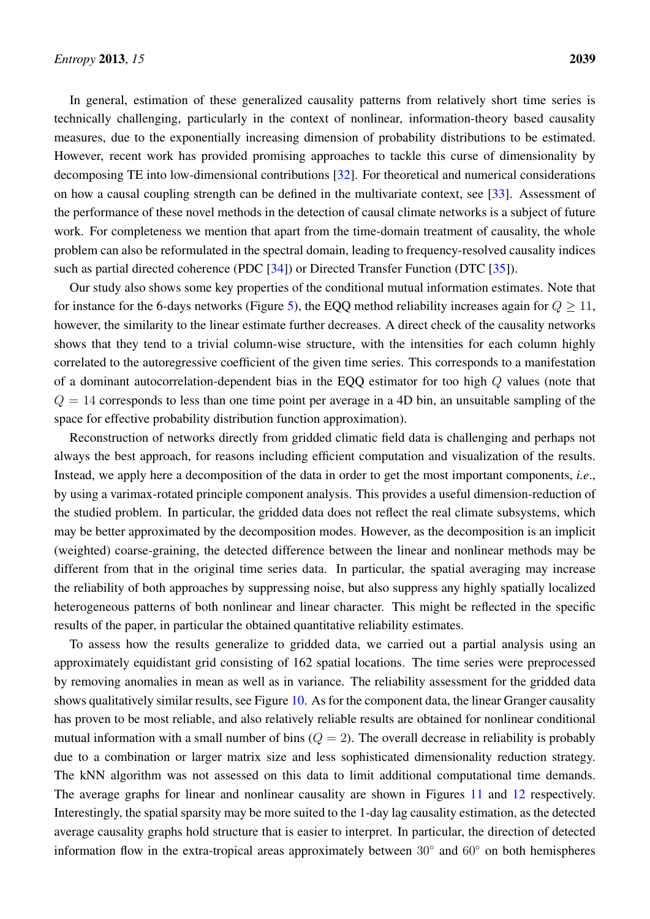In general, estimation of these generalized causality patterns from relatively short time series is technically challenging, particularly in the context of nonlinear, information-theory based causality measures, due to the exponentially increasing dimension of probability distributions to be estimated. However, recent work has provided promising approaches to tackle this curse of dimensionality by decomposing TE into low-dimensional contributions [\[32\]](#page-21-7). For theoretical and numerical considerations on how a causal coupling strength can be defined in the multivariate context, see [\[33\]](#page-21-8). Assessment of the performance of these novel methods in the detection of causal climate networks is a subject of future work. For completeness we mention that apart from the time-domain treatment of causality, the whole problem can also be reformulated in the spectral domain, leading to frequency-resolved causality indices such as partial directed coherence (PDC [\[34\]](#page-21-9)) or Directed Transfer Function (DTC [\[35\]](#page-21-10)).

Our study also shows some key properties of the conditional mutual information estimates. Note that for instance for the 6-days networks (Figure [5\)](#page-12-0), the EQQ method reliability increases again for  $Q > 11$ , however, the similarity to the linear estimate further decreases. A direct check of the causality networks shows that they tend to a trivial column-wise structure, with the intensities for each column highly correlated to the autoregressive coefficient of the given time series. This corresponds to a manifestation of a dominant autocorrelation-dependent bias in the EQQ estimator for too high Q values (note that  $Q = 14$  corresponds to less than one time point per average in a 4D bin, an unsuitable sampling of the space for effective probability distribution function approximation).

Reconstruction of networks directly from gridded climatic field data is challenging and perhaps not always the best approach, for reasons including efficient computation and visualization of the results. Instead, we apply here a decomposition of the data in order to get the most important components, *i.e*., by using a varimax-rotated principle component analysis. This provides a useful dimension-reduction of the studied problem. In particular, the gridded data does not reflect the real climate subsystems, which may be better approximated by the decomposition modes. However, as the decomposition is an implicit (weighted) coarse-graining, the detected difference between the linear and nonlinear methods may be different from that in the original time series data. In particular, the spatial averaging may increase the reliability of both approaches by suppressing noise, but also suppress any highly spatially localized heterogeneous patterns of both nonlinear and linear character. This might be reflected in the specific results of the paper, in particular the obtained quantitative reliability estimates.

To assess how the results generalize to gridded data, we carried out a partial analysis using an approximately equidistant grid consisting of 162 spatial locations. The time series were preprocessed by removing anomalies in mean as well as in variance. The reliability assessment for the gridded data shows qualitatively similar results, see Figure [10.](#page-17-0) As for the component data, the linear Granger causality has proven to be most reliable, and also relatively reliable results are obtained for nonlinear conditional mutual information with a small number of bins  $(Q = 2)$ . The overall decrease in reliability is probably due to a combination or larger matrix size and less sophisticated dimensionality reduction strategy. The kNN algorithm was not assessed on this data to limit additional computational time demands. The average graphs for linear and nonlinear causality are shown in Figures [11](#page-17-1) and [12](#page-18-0) respectively. Interestingly, the spatial sparsity may be more suited to the 1-day lag causality estimation, as the detected average causality graphs hold structure that is easier to interpret. In particular, the direction of detected information flow in the extra-tropical areas approximately between 30◦ and 60◦ on both hemispheres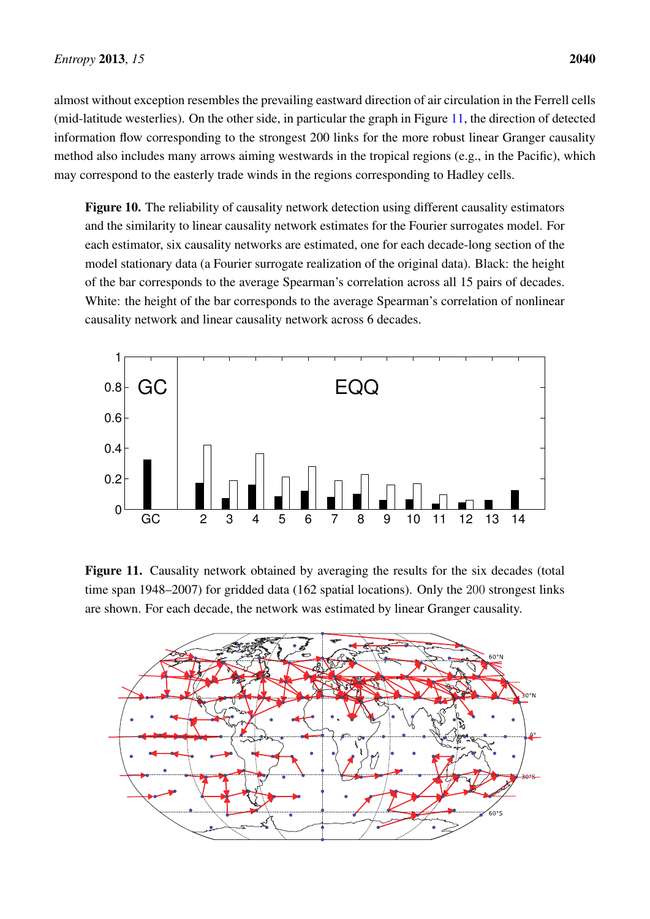almost without exception resembles the prevailing eastward direction of air circulation in the Ferrell cells (mid-latitude westerlies). On the other side, in particular the graph in Figure [11,](#page-17-1) the direction of detected information flow corresponding to the strongest 200 links for the more robust linear Granger causality method also includes many arrows aiming westwards in the tropical regions (e.g., in the Pacific), which may correspond to the easterly trade winds in the regions corresponding to Hadley cells.

<span id="page-17-0"></span>Figure 10. The reliability of causality network detection using different causality estimators and the similarity to linear causality network estimates for the Fourier surrogates model. For each estimator, six causality networks are estimated, one for each decade-long section of the model stationary data (a Fourier surrogate realization of the original data). Black: the height of the bar corresponds to the average Spearman's correlation across all 15 pairs of decades. White: the height of the bar corresponds to the average Spearman's correlation of nonlinear causality network and linear causality network across 6 decades.



<span id="page-17-1"></span>Figure 11. Causality network obtained by averaging the results for the six decades (total time span 1948–2007) for gridded data (162 spatial locations). Only the 200 strongest links are shown. For each decade, the network was estimated by linear Granger causality.

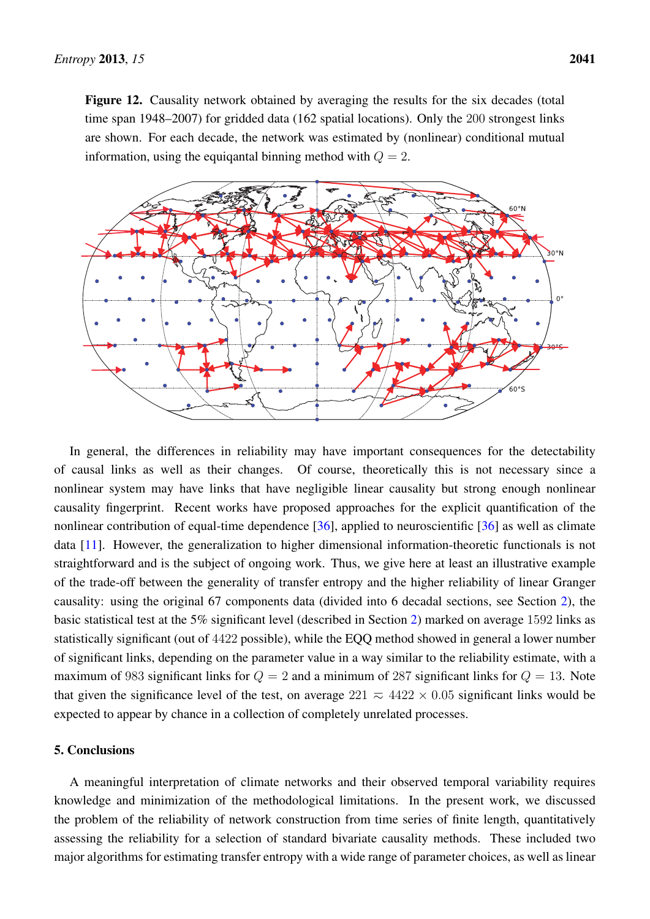<span id="page-18-0"></span>Figure 12. Causality network obtained by averaging the results for the six decades (total time span 1948–2007) for gridded data (162 spatial locations). Only the 200 strongest links are shown. For each decade, the network was estimated by (nonlinear) conditional mutual information, using the equiqantal binning method with  $Q = 2$ .



In general, the differences in reliability may have important consequences for the detectability of causal links as well as their changes. Of course, theoretically this is not necessary since a nonlinear system may have links that have negligible linear causality but strong enough nonlinear causality fingerprint. Recent works have proposed approaches for the explicit quantification of the nonlinear contribution of equal-time dependence  $[36]$ , applied to neuroscientific  $[36]$  as well as climate data [\[11\]](#page-20-4). However, the generalization to higher dimensional information-theoretic functionals is not straightforward and is the subject of ongoing work. Thus, we give here at least an illustrative example of the trade-off between the generality of transfer entropy and the higher reliability of linear Granger causality: using the original 67 components data (divided into 6 decadal sections, see Section [2\)](#page-2-1), the basic statistical test at the 5% significant level (described in Section [2\)](#page-2-1) marked on average 1592 links as statistically significant (out of 4422 possible), while the EQQ method showed in general a lower number of significant links, depending on the parameter value in a way similar to the reliability estimate, with a maximum of 983 significant links for  $Q = 2$  and a minimum of 287 significant links for  $Q = 13$ . Note that given the significance level of the test, on average  $221 \approx 4422 \times 0.05$  significant links would be expected to appear by chance in a collection of completely unrelated processes.

# 5. Conclusions

A meaningful interpretation of climate networks and their observed temporal variability requires knowledge and minimization of the methodological limitations. In the present work, we discussed the problem of the reliability of network construction from time series of finite length, quantitatively assessing the reliability for a selection of standard bivariate causality methods. These included two major algorithms for estimating transfer entropy with a wide range of parameter choices, as well as linear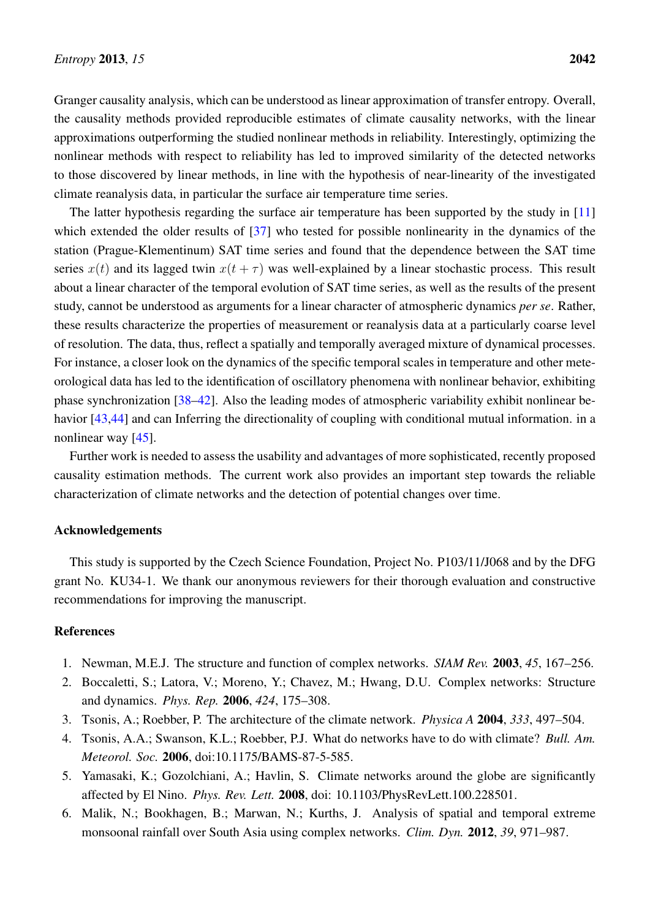Granger causality analysis, which can be understood as linear approximation of transfer entropy. Overall, the causality methods provided reproducible estimates of climate causality networks, with the linear approximations outperforming the studied nonlinear methods in reliability. Interestingly, optimizing the nonlinear methods with respect to reliability has led to improved similarity of the detected networks to those discovered by linear methods, in line with the hypothesis of near-linearity of the investigated climate reanalysis data, in particular the surface air temperature time series.

The latter hypothesis regarding the surface air temperature has been supported by the study in [\[11\]](#page-20-4) which extended the older results of [\[37\]](#page-21-12) who tested for possible nonlinearity in the dynamics of the station (Prague-Klementinum) SAT time series and found that the dependence between the SAT time series  $x(t)$  and its lagged twin  $x(t + \tau)$  was well-explained by a linear stochastic process. This result about a linear character of the temporal evolution of SAT time series, as well as the results of the present study, cannot be understood as arguments for a linear character of atmospheric dynamics *per se*. Rather, these results characterize the properties of measurement or reanalysis data at a particularly coarse level of resolution. The data, thus, reflect a spatially and temporally averaged mixture of dynamical processes. For instance, a closer look on the dynamics of the specific temporal scales in temperature and other meteorological data has led to the identification of oscillatory phenomena with nonlinear behavior, exhibiting phase synchronization [\[38](#page-21-13)[–42\]](#page-21-14). Also the leading modes of atmospheric variability exhibit nonlinear be-havior [\[43,](#page-21-15)[44\]](#page-21-16) and can Inferring the directionality of coupling with conditional mutual information. in a nonlinear way [\[45\]](#page-22-0).

Further work is needed to assess the usability and advantages of more sophisticated, recently proposed causality estimation methods. The current work also provides an important step towards the reliable characterization of climate networks and the detection of potential changes over time.

# Acknowledgements

This study is supported by the Czech Science Foundation, Project No. P103/11/J068 and by the DFG grant No. KU34-1. We thank our anonymous reviewers for their thorough evaluation and constructive recommendations for improving the manuscript.

# References

- <span id="page-19-0"></span>1. Newman, M.E.J. The structure and function of complex networks. *SIAM Rev.* 2003, *45*, 167–256.
- <span id="page-19-1"></span>2. Boccaletti, S.; Latora, V.; Moreno, Y.; Chavez, M.; Hwang, D.U. Complex networks: Structure and dynamics. *Phys. Rep.* 2006, *424*, 175–308.
- <span id="page-19-2"></span>3. Tsonis, A.; Roebber, P. The architecture of the climate network. *Physica A* 2004, *333*, 497–504.
- 4. Tsonis, A.A.; Swanson, K.L.; Roebber, P.J. What do networks have to do with climate? *Bull. Am. Meteorol. Soc.* 2006, doi:10.1175/BAMS-87-5-585.
- 5. Yamasaki, K.; Gozolchiani, A.; Havlin, S. Climate networks around the globe are significantly affected by El Nino. *Phys. Rev. Lett.* 2008, doi: 10.1103/PhysRevLett.100.228501.
- 6. Malik, N.; Bookhagen, B.; Marwan, N.; Kurths, J. Analysis of spatial and temporal extreme monsoonal rainfall over South Asia using complex networks. *Clim. Dyn.* 2012, *39*, 971–987.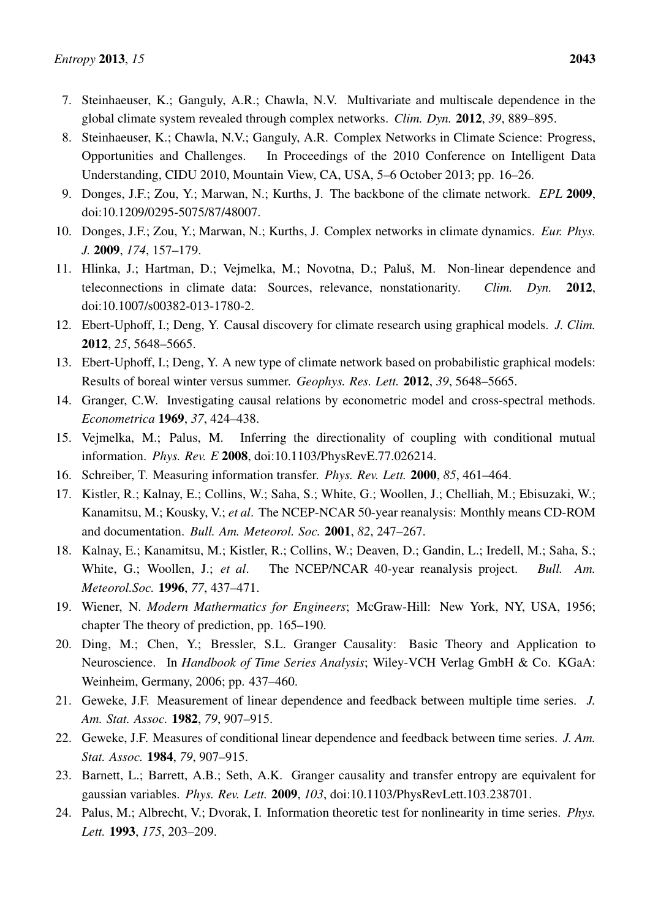- <span id="page-20-0"></span>7. Steinhaeuser, K.; Ganguly, A.R.; Chawla, N.V. Multivariate and multiscale dependence in the global climate system revealed through complex networks. *Clim. Dyn.* 2012, *39*, 889–895.
- <span id="page-20-1"></span>8. Steinhaeuser, K.; Chawla, N.V.; Ganguly, A.R. Complex Networks in Climate Science: Progress, Opportunities and Challenges. In Proceedings of the 2010 Conference on Intelligent Data Understanding, CIDU 2010, Mountain View, CA, USA, 5–6 October 2013; pp. 16–26.
- <span id="page-20-2"></span>9. Donges, J.F.; Zou, Y.; Marwan, N.; Kurths, J. The backbone of the climate network. *EPL* 2009, doi:10.1209/0295-5075/87/48007.
- <span id="page-20-3"></span>10. Donges, J.F.; Zou, Y.; Marwan, N.; Kurths, J. Complex networks in climate dynamics. *Eur. Phys. J.* 2009, *174*, 157–179.
- <span id="page-20-4"></span>11. Hlinka, J.; Hartman, D.; Vejmelka, M.; Novotna, D.; Paluš, M. Non-linear dependence and teleconnections in climate data: Sources, relevance, nonstationarity. *Clim. Dyn.* 2012, doi:10.1007/s00382-013-1780-2.
- <span id="page-20-5"></span>12. Ebert-Uphoff, I.; Deng, Y. Causal discovery for climate research using graphical models. *J. Clim.* 2012, *25*, 5648–5665.
- <span id="page-20-6"></span>13. Ebert-Uphoff, I.; Deng, Y. A new type of climate network based on probabilistic graphical models: Results of boreal winter versus summer. *Geophys. Res. Lett.* 2012, *39*, 5648–5665.
- <span id="page-20-7"></span>14. Granger, C.W. Investigating causal relations by econometric model and cross-spectral methods. *Econometrica* 1969, *37*, 424–438.
- <span id="page-20-8"></span>15. Vejmelka, M.; Palus, M. Inferring the directionality of coupling with conditional mutual information. *Phys. Rev. E* 2008, doi:10.1103/PhysRevE.77.026214.
- <span id="page-20-9"></span>16. Schreiber, T. Measuring information transfer. *Phys. Rev. Lett.* 2000, *85*, 461–464.
- <span id="page-20-10"></span>17. Kistler, R.; Kalnay, E.; Collins, W.; Saha, S.; White, G.; Woollen, J.; Chelliah, M.; Ebisuzaki, W.; Kanamitsu, M.; Kousky, V.; *et al*. The NCEP-NCAR 50-year reanalysis: Monthly means CD-ROM and documentation. *Bull. Am. Meteorol. Soc.* 2001, *82*, 247–267.
- <span id="page-20-11"></span>18. Kalnay, E.; Kanamitsu, M.; Kistler, R.; Collins, W.; Deaven, D.; Gandin, L.; Iredell, M.; Saha, S.; White, G.; Woollen, J.; *et al*. The NCEP/NCAR 40-year reanalysis project. *Bull. Am. Meteorol.Soc.* 1996, *77*, 437–471.
- <span id="page-20-12"></span>19. Wiener, N. *Modern Mathermatics for Engineers*; McGraw-Hill: New York, NY, USA, 1956; chapter The theory of prediction, pp. 165–190.
- <span id="page-20-13"></span>20. Ding, M.; Chen, Y.; Bressler, S.L. Granger Causality: Basic Theory and Application to Neuroscience. In *Handbook of Time Series Analysis*; Wiley-VCH Verlag GmbH & Co. KGaA: Weinheim, Germany, 2006; pp. 437–460.
- 21. Geweke, J.F. Measurement of linear dependence and feedback between multiple time series. *J. Am. Stat. Assoc.* 1982, *79*, 907–915.
- <span id="page-20-14"></span>22. Geweke, J.F. Measures of conditional linear dependence and feedback between time series. *J. Am. Stat. Assoc.* 1984, *79*, 907–915.
- <span id="page-20-15"></span>23. Barnett, L.; Barrett, A.B.; Seth, A.K. Granger causality and transfer entropy are equivalent for gaussian variables. *Phys. Rev. Lett.* 2009, *103*, doi:10.1103/PhysRevLett.103.238701.
- <span id="page-20-16"></span>24. Palus, M.; Albrecht, V.; Dvorak, I. Information theoretic test for nonlinearity in time series. *Phys. Lett.* 1993, *175*, 203–209.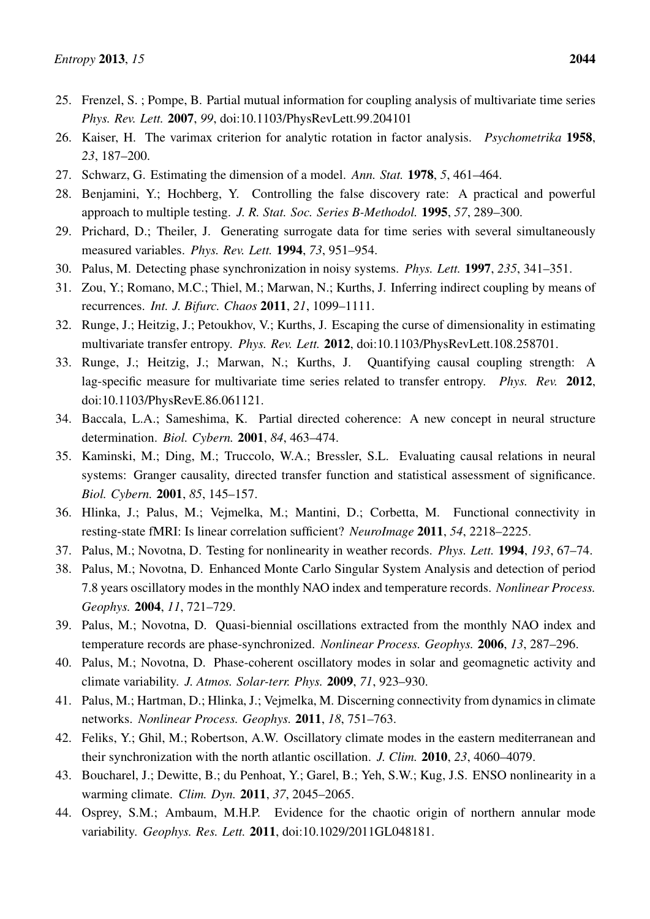- <span id="page-21-0"></span>25. Frenzel, S. ; Pompe, B. Partial mutual information for coupling analysis of multivariate time series *Phys. Rev. Lett.* 2007, *99*, doi:10.1103/PhysRevLett.99.204101
- <span id="page-21-1"></span>26. Kaiser, H. The varimax criterion for analytic rotation in factor analysis. *Psychometrika* 1958, *23*, 187–200.
- <span id="page-21-2"></span>27. Schwarz, G. Estimating the dimension of a model. *Ann. Stat.* 1978, *5*, 461–464.
- <span id="page-21-3"></span>28. Benjamini, Y.; Hochberg, Y. Controlling the false discovery rate: A practical and powerful approach to multiple testing. *J. R. Stat. Soc. Series B-Methodol.* 1995, *57*, 289–300.
- <span id="page-21-4"></span>29. Prichard, D.; Theiler, J. Generating surrogate data for time series with several simultaneously measured variables. *Phys. Rev. Lett.* 1994, *73*, 951–954.
- <span id="page-21-5"></span>30. Palus, M. Detecting phase synchronization in noisy systems. *Phys. Lett.* 1997, *235*, 341–351.
- <span id="page-21-6"></span>31. Zou, Y.; Romano, M.C.; Thiel, M.; Marwan, N.; Kurths, J. Inferring indirect coupling by means of recurrences. *Int. J. Bifurc. Chaos* 2011, *21*, 1099–1111.
- <span id="page-21-7"></span>32. Runge, J.; Heitzig, J.; Petoukhov, V.; Kurths, J. Escaping the curse of dimensionality in estimating multivariate transfer entropy. *Phys. Rev. Lett.* 2012, doi:10.1103/PhysRevLett.108.258701.
- <span id="page-21-8"></span>33. Runge, J.; Heitzig, J.; Marwan, N.; Kurths, J. Quantifying causal coupling strength: A lag-specific measure for multivariate time series related to transfer entropy. *Phys. Rev.* 2012, doi:10.1103/PhysRevE.86.061121.
- <span id="page-21-9"></span>34. Baccala, L.A.; Sameshima, K. Partial directed coherence: A new concept in neural structure determination. *Biol. Cybern.* 2001, *84*, 463–474.
- <span id="page-21-10"></span>35. Kaminski, M.; Ding, M.; Truccolo, W.A.; Bressler, S.L. Evaluating causal relations in neural systems: Granger causality, directed transfer function and statistical assessment of significance. *Biol. Cybern.* 2001, *85*, 145–157.
- <span id="page-21-11"></span>36. Hlinka, J.; Palus, M.; Vejmelka, M.; Mantini, D.; Corbetta, M. Functional connectivity in resting-state fMRI: Is linear correlation sufficient? *NeuroImage* 2011, *54*, 2218–2225.
- <span id="page-21-12"></span>37. Palus, M.; Novotna, D. Testing for nonlinearity in weather records. *Phys. Lett.* 1994, *193*, 67–74.
- <span id="page-21-13"></span>38. Palus, M.; Novotna, D. Enhanced Monte Carlo Singular System Analysis and detection of period 7.8 years oscillatory modes in the monthly NAO index and temperature records. *Nonlinear Process. Geophys.* 2004, *11*, 721–729.
- 39. Palus, M.; Novotna, D. Quasi-biennial oscillations extracted from the monthly NAO index and temperature records are phase-synchronized. *Nonlinear Process. Geophys.* 2006, *13*, 287–296.
- 40. Palus, M.; Novotna, D. Phase-coherent oscillatory modes in solar and geomagnetic activity and climate variability. *J. Atmos. Solar-terr. Phys.* 2009, *71*, 923–930.
- 41. Palus, M.; Hartman, D.; Hlinka, J.; Vejmelka, M. Discerning connectivity from dynamics in climate networks. *Nonlinear Process. Geophys.* 2011, *18*, 751–763.
- <span id="page-21-14"></span>42. Feliks, Y.; Ghil, M.; Robertson, A.W. Oscillatory climate modes in the eastern mediterranean and their synchronization with the north atlantic oscillation. *J. Clim.* 2010, *23*, 4060–4079.
- <span id="page-21-15"></span>43. Boucharel, J.; Dewitte, B.; du Penhoat, Y.; Garel, B.; Yeh, S.W.; Kug, J.S. ENSO nonlinearity in a warming climate. *Clim. Dyn.* 2011, *37*, 2045–2065.
- <span id="page-21-16"></span>44. Osprey, S.M.; Ambaum, M.H.P. Evidence for the chaotic origin of northern annular mode variability. *Geophys. Res. Lett.* 2011, doi:10.1029/2011GL048181.